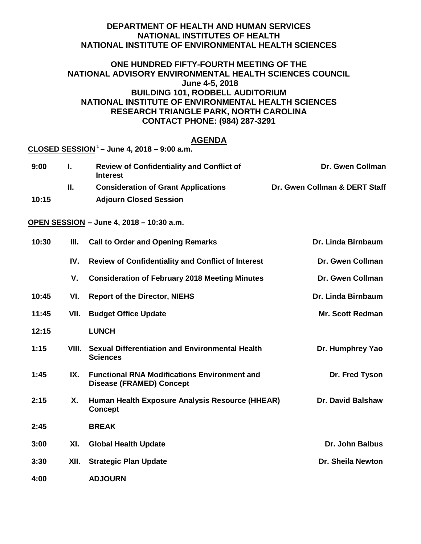## **DEPARTMENT OF HEALTH AND HUMAN SERVICES NATIONAL INSTITUTES OF HEALTH NATIONAL INSTITUTE OF ENVIRONMENTAL HEALTH SCIENCES**

# **ONE HUNDRED FIFTY-FOURTH MEETING OF THE NATIONAL ADVISORY ENVIRONMENTAL HEALTH SCIENCES COUNCIL June 4-5, 2018 BUILDING 101, RODBELL AUDITORIUM NATIONAL INSTITUTE OF ENVIRONMENTAL HEALTH SCIENCES RESEARCH TRIANGLE PARK, NORTH CAROLINA CONTACT PHONE: (984) 287-3291**

# **AGENDA**

|       |       | CLOSED SESSION $1-$ June 4, 2018 – 9:00 a.m.                                           |                               |
|-------|-------|----------------------------------------------------------------------------------------|-------------------------------|
| 9:00  | L.    | <b>Review of Confidentiality and Conflict of</b><br><b>Interest</b>                    | Dr. Gwen Collman              |
|       | П.    | <b>Consideration of Grant Applications</b>                                             | Dr. Gwen Collman & DERT Staff |
| 10:15 |       | <b>Adjourn Closed Session</b>                                                          |                               |
|       |       | OPEN SESSION - June 4, 2018 - 10:30 a.m.                                               |                               |
| 10:30 | III.  | <b>Call to Order and Opening Remarks</b>                                               | Dr. Linda Birnbaum            |
|       | IV.   | <b>Review of Confidentiality and Conflict of Interest</b>                              | Dr. Gwen Collman              |
|       | V.    | <b>Consideration of February 2018 Meeting Minutes</b>                                  | Dr. Gwen Collman              |
| 10:45 | VI.   | <b>Report of the Director, NIEHS</b>                                                   | Dr. Linda Birnbaum            |
| 11:45 | VII.  | <b>Budget Office Update</b>                                                            | <b>Mr. Scott Redman</b>       |
| 12:15 |       | <b>LUNCH</b>                                                                           |                               |
| 1:15  | VIII. | <b>Sexual Differentiation and Environmental Health</b><br><b>Sciences</b>              | Dr. Humphrey Yao              |
| 1:45  | IX.   | <b>Functional RNA Modifications Environment and</b><br><b>Disease (FRAMED) Concept</b> | Dr. Fred Tyson                |
| 2:15  | Χ.    | Human Health Exposure Analysis Resource (HHEAR)<br><b>Concept</b>                      | <b>Dr. David Balshaw</b>      |
| 2:45  |       | <b>BREAK</b>                                                                           |                               |
| 3:00  | XI.   | <b>Global Health Update</b>                                                            | <b>Dr. John Balbus</b>        |
| 3:30  | XII.  | <b>Strategic Plan Update</b>                                                           | Dr. Sheila Newton             |

**4:00 ADJOURN**